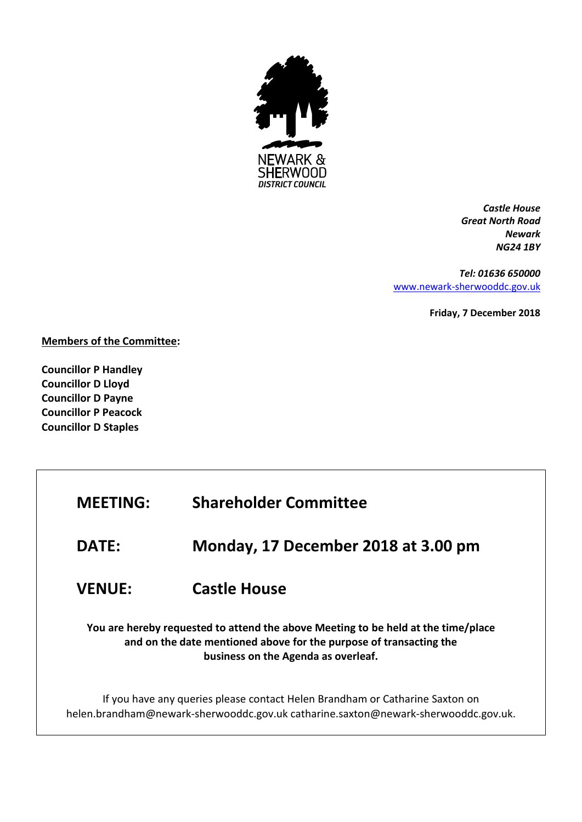

*Castle House Great North Road Newark NG24 1BY*

*Tel: 01636 650000* [www.newark-sherwooddc.gov.uk](http://www.newark-sherwooddc.gov.uk/)

**Friday, 7 December 2018**

**Members of the Committee:**

**Councillor P Handley Councillor D Lloyd Councillor D Payne Councillor P Peacock Councillor D Staples**

## **MEETING: Shareholder Committee**

- **DATE: Monday, 17 December 2018 at 3.00 pm**
- **VENUE: Castle House**

**You are hereby requested to attend the above Meeting to be held at the time/place and on the date mentioned above for the purpose of transacting the business on the Agenda as overleaf.**

If you have any queries please contact Helen Brandham or Catharine Saxton on helen.brandham@newark-sherwooddc.gov.uk catharine.saxton@newark-sherwooddc.gov.uk.